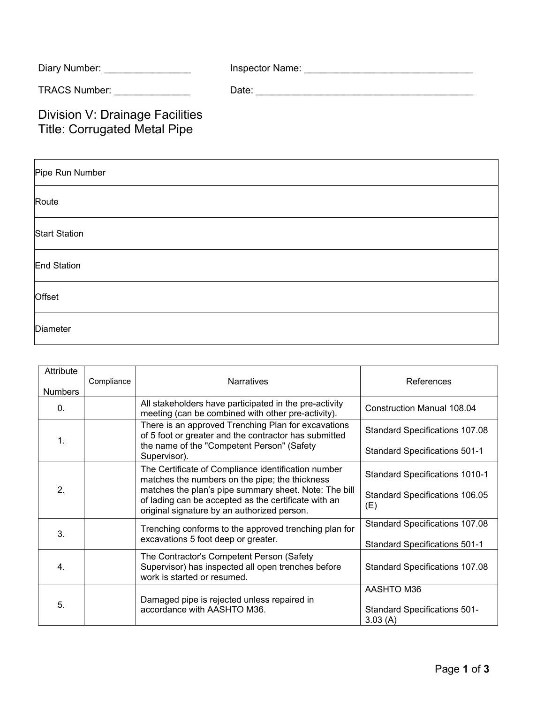| Diary Number:        | Inspector Name: |
|----------------------|-----------------|
| <b>TRACS Number:</b> | Date:           |

Division V: Drainage Facilities Title: Corrugated Metal Pipe

| Pipe Run Number      |  |
|----------------------|--|
| Route                |  |
| <b>Start Station</b> |  |
| <b>End Station</b>   |  |
| Offset               |  |
| Diameter             |  |

| Attribute<br><b>Numbers</b> | Compliance | <b>Narratives</b>                                                                                                                                            | References                                     |
|-----------------------------|------------|--------------------------------------------------------------------------------------------------------------------------------------------------------------|------------------------------------------------|
| $\mathbf{0}$ .              |            | All stakeholders have participated in the pre-activity<br>meeting (can be combined with other pre-activity).                                                 | <b>Construction Manual 108.04</b>              |
| $\mathbf 1$                 |            | There is an approved Trenching Plan for excavations<br>of 5 foot or greater and the contractor has submitted                                                 | Standard Specifications 107.08                 |
|                             |            | the name of the "Competent Person" (Safety<br>Supervisor).                                                                                                   | <b>Standard Specifications 501-1</b>           |
|                             |            | The Certificate of Compliance identification number<br>matches the numbers on the pipe; the thickness                                                        | <b>Standard Specifications 1010-1</b>          |
| 2.                          |            | matches the plan's pipe summary sheet. Note: The bill<br>of lading can be accepted as the certificate with an<br>original signature by an authorized person. | Standard Specifications 106.05<br>(E)          |
| 3.                          |            | Trenching conforms to the approved trenching plan for                                                                                                        | <b>Standard Specifications 107.08</b>          |
|                             |            | excavations 5 foot deep or greater.                                                                                                                          | <b>Standard Specifications 501-1</b>           |
| 4.                          |            | The Contractor's Competent Person (Safety<br>Supervisor) has inspected all open trenches before<br>work is started or resumed.                               | <b>Standard Specifications 107.08</b>          |
| 5.                          |            | Damaged pipe is rejected unless repaired in<br>accordance with AASHTO M36.                                                                                   | AASHTO M36                                     |
|                             |            |                                                                                                                                                              | <b>Standard Specifications 501-</b><br>3.03(A) |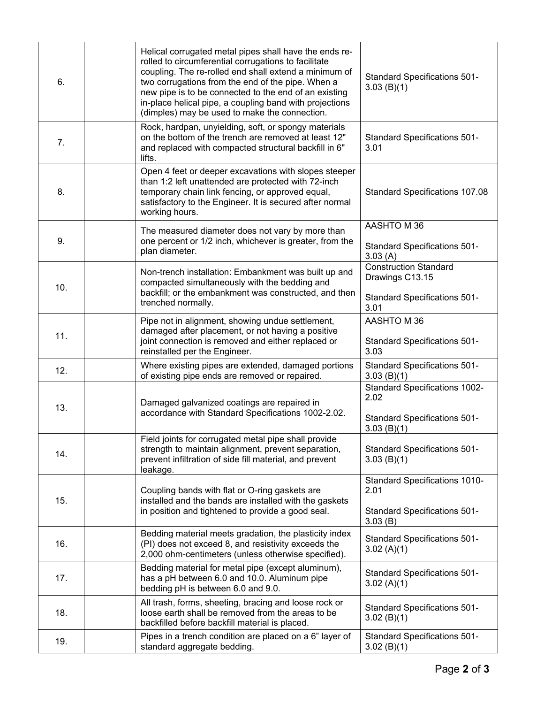| 6.  | Helical corrugated metal pipes shall have the ends re-<br>rolled to circumferential corrugations to facilitate<br>coupling. The re-rolled end shall extend a minimum of<br>two corrugations from the end of the pipe. When a<br>new pipe is to be connected to the end of an existing<br>in-place helical pipe, a coupling band with projections<br>(dimples) may be used to make the connection. | <b>Standard Specifications 501-</b><br>3.03(B)(1)                                              |
|-----|---------------------------------------------------------------------------------------------------------------------------------------------------------------------------------------------------------------------------------------------------------------------------------------------------------------------------------------------------------------------------------------------------|------------------------------------------------------------------------------------------------|
| 7.  | Rock, hardpan, unyielding, soft, or spongy materials<br>on the bottom of the trench are removed at least 12"<br>and replaced with compacted structural backfill in 6"<br>lifts.                                                                                                                                                                                                                   | <b>Standard Specifications 501-</b><br>3.01                                                    |
| 8.  | Open 4 feet or deeper excavations with slopes steeper<br>than 1:2 left unattended are protected with 72-inch<br>temporary chain link fencing, or approved equal,<br>satisfactory to the Engineer. It is secured after normal<br>working hours.                                                                                                                                                    | <b>Standard Specifications 107.08</b>                                                          |
| 9.  | The measured diameter does not vary by more than<br>one percent or 1/2 inch, whichever is greater, from the<br>plan diameter.                                                                                                                                                                                                                                                                     | AASHTO M 36<br><b>Standard Specifications 501-</b><br>3.03(A)                                  |
| 10. | Non-trench installation: Embankment was built up and<br>compacted simultaneously with the bedding and<br>backfill; or the embankment was constructed, and then<br>trenched normally.                                                                                                                                                                                                              | <b>Construction Standard</b><br>Drawings C13.15<br><b>Standard Specifications 501-</b><br>3.01 |
| 11. | Pipe not in alignment, showing undue settlement,<br>damaged after placement, or not having a positive<br>joint connection is removed and either replaced or<br>reinstalled per the Engineer.                                                                                                                                                                                                      | AASHTO M 36<br><b>Standard Specifications 501-</b><br>3.03                                     |
| 12. | Where existing pipes are extended, damaged portions<br>of existing pipe ends are removed or repaired.                                                                                                                                                                                                                                                                                             | <b>Standard Specifications 501-</b><br>3.03(B)(1)                                              |
| 13. | Damaged galvanized coatings are repaired in<br>accordance with Standard Specifications 1002-2.02.                                                                                                                                                                                                                                                                                                 | Standard Specifications 1002-<br>2.02<br><b>Standard Specifications 501-</b><br>3.03(B)(1)     |
| 14. | Field joints for corrugated metal pipe shall provide<br>strength to maintain alignment, prevent separation,<br>prevent infiltration of side fill material, and prevent<br>leakage.                                                                                                                                                                                                                | <b>Standard Specifications 501-</b><br>3.03(B)(1)                                              |
| 15. | Coupling bands with flat or O-ring gaskets are<br>installed and the bands are installed with the gaskets<br>in position and tightened to provide a good seal.                                                                                                                                                                                                                                     | <b>Standard Specifications 1010-</b><br>2.01<br><b>Standard Specifications 501-</b><br>3.03(B) |
| 16. | Bedding material meets gradation, the plasticity index<br>(PI) does not exceed 8, and resistivity exceeds the<br>2,000 ohm-centimeters (unless otherwise specified).                                                                                                                                                                                                                              | <b>Standard Specifications 501-</b><br>3.02(A)(1)                                              |
| 17. | Bedding material for metal pipe (except aluminum),<br>has a pH between 6.0 and 10.0. Aluminum pipe<br>bedding pH is between 6.0 and 9.0.                                                                                                                                                                                                                                                          | <b>Standard Specifications 501-</b><br>3.02(A)(1)                                              |
| 18. | All trash, forms, sheeting, bracing and loose rock or<br>loose earth shall be removed from the areas to be<br>backfilled before backfill material is placed.                                                                                                                                                                                                                                      | <b>Standard Specifications 501-</b><br>$3.02$ (B)(1)                                           |
| 19. | Pipes in a trench condition are placed on a 6" layer of<br>standard aggregate bedding.                                                                                                                                                                                                                                                                                                            | <b>Standard Specifications 501-</b><br>3.02(B)(1)                                              |